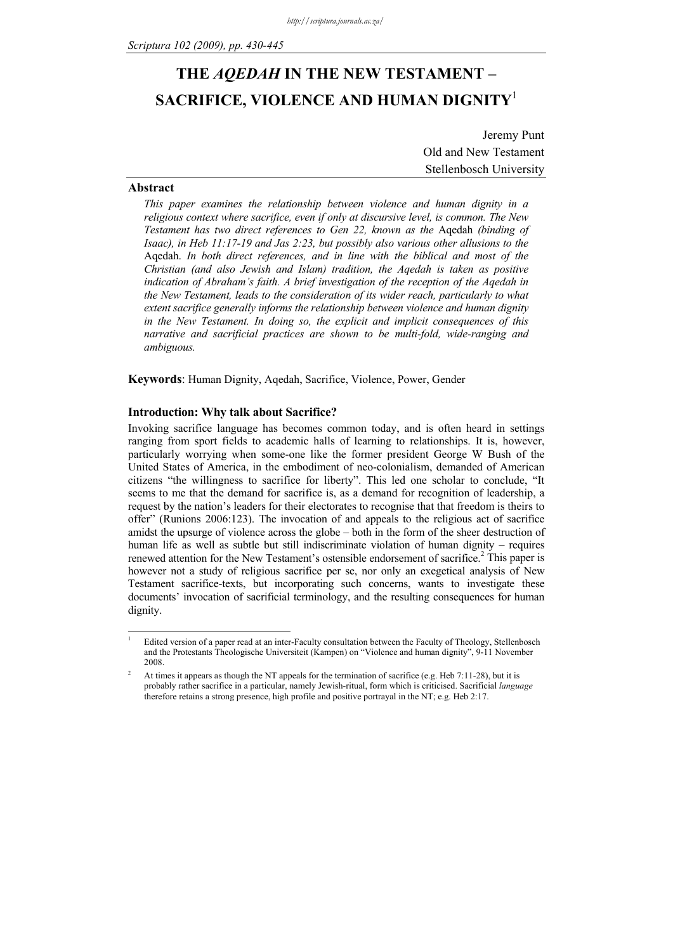# **THE** *AQEDAH* **IN THE NEW TESTAMENT – SACRIFICE, VIOLENCE AND HUMAN DIGNITY**<sup>1</sup>

Jeremy Punt Old and New Testament Stellenbosch University

# **Abstract**

-

*This paper examines the relationship between violence and human dignity in a religious context where sacrifice, even if only at discursive level, is common. The New Testament has two direct references to Gen 22, known as the* Aqedah *(binding of Isaac), in Heb 11:17-19 and Jas 2:23, but possibly also various other allusions to the* Aqedah. *In both direct references, and in line with the biblical and most of the Christian (and also Jewish and Islam) tradition, the Aqedah is taken as positive indication of Abraham's faith. A brief investigation of the reception of the Aqedah in the New Testament, leads to the consideration of its wider reach, particularly to what extent sacrifice generally informs the relationship between violence and human dignity in the New Testament. In doing so, the explicit and implicit consequences of this narrative and sacrificial practices are shown to be multi-fold, wide-ranging and ambiguous.*

**Keywords**: Human Dignity, Aqedah, Sacrifice, Violence, Power, Gender

# **Introduction: Why talk about Sacrifice?**

Invoking sacrifice language has becomes common today, and is often heard in settings ranging from sport fields to academic halls of learning to relationships. It is, however, particularly worrying when some-one like the former president George W Bush of the United States of America, in the embodiment of neo-colonialism, demanded of American citizens "the willingness to sacrifice for liberty". This led one scholar to conclude, "It seems to me that the demand for sacrifice is, as a demand for recognition of leadership, a request by the nation's leaders for their electorates to recognise that that freedom is theirs to offer" (Runions 2006:123). The invocation of and appeals to the religious act of sacrifice amidst the upsurge of violence across the globe – both in the form of the sheer destruction of human life as well as subtle but still indiscriminate violation of human dignity – requires renewed attention for the New Testament's ostensible endorsement of sacrifice.<sup>2</sup> This paper is however not a study of religious sacrifice per se, nor only an exegetical analysis of New Testament sacrifice-texts, but incorporating such concerns, wants to investigate these documents' invocation of sacrificial terminology, and the resulting consequences for human dignity.

<sup>1</sup> Edited version of a paper read at an inter-Faculty consultation between the Faculty of Theology, Stellenbosch and the Protestants Theologische Universiteit (Kampen) on "Violence and human dignity", 9-11 November 2008.

<sup>2</sup> At times it appears as though the NT appeals for the termination of sacrifice (e.g. Heb 7:11-28), but it is probably rather sacrifice in a particular, namely Jewish-ritual, form which is criticised. Sacrificial *language* therefore retains a strong presence, high profile and positive portrayal in the NT; e.g. Heb 2:17.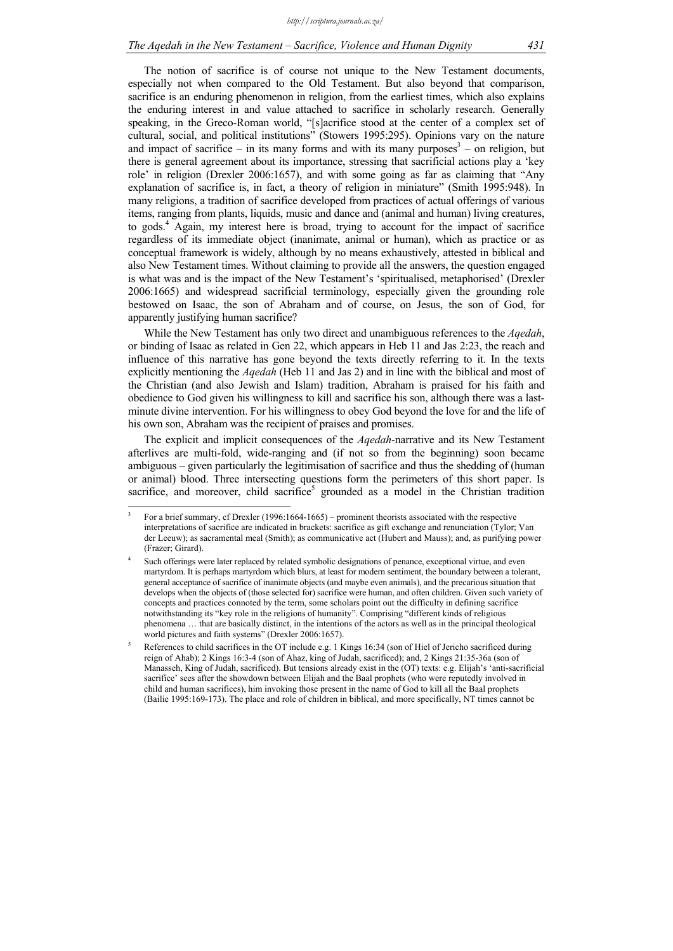The notion of sacrifice is of course not unique to the New Testament documents, especially not when compared to the Old Testament. But also beyond that comparison, sacrifice is an enduring phenomenon in religion, from the earliest times, which also explains the enduring interest in and value attached to sacrifice in scholarly research. Generally speaking, in the Greco-Roman world, "[s]acrifice stood at the center of a complex set of cultural, social, and political institutions" (Stowers 1995:295). Opinions vary on the nature and impact of sacrifice – in its many forms and with its many purposes<sup>3</sup> – on religion, but there is general agreement about its importance, stressing that sacrificial actions play a 'key role' in religion (Drexler 2006:1657), and with some going as far as claiming that "Any explanation of sacrifice is, in fact, a theory of religion in miniature" (Smith 1995:948). In many religions, a tradition of sacrifice developed from practices of actual offerings of various items, ranging from plants, liquids, music and dance and (animal and human) living creatures, to gods.<sup>4</sup> Again, my interest here is broad, trying to account for the impact of sacrifice regardless of its immediate object (inanimate, animal or human), which as practice or as conceptual framework is widely, although by no means exhaustively, attested in biblical and also New Testament times. Without claiming to provide all the answers, the question engaged is what was and is the impact of the New Testament's 'spiritualised, metaphorised' (Drexler 2006:1665) and widespread sacrificial terminology, especially given the grounding role bestowed on Isaac, the son of Abraham and of course, on Jesus, the son of God, for apparently justifying human sacrifice?

While the New Testament has only two direct and unambiguous references to the *Aqedah*, or binding of Isaac as related in Gen 22, which appears in Heb 11 and Jas 2:23, the reach and influence of this narrative has gone beyond the texts directly referring to it. In the texts explicitly mentioning the *Aqedah* (Heb 11 and Jas 2) and in line with the biblical and most of the Christian (and also Jewish and Islam) tradition, Abraham is praised for his faith and obedience to God given his willingness to kill and sacrifice his son, although there was a lastminute divine intervention. For his willingness to obey God beyond the love for and the life of his own son, Abraham was the recipient of praises and promises.

The explicit and implicit consequences of the *Aqedah*-narrative and its New Testament afterlives are multi-fold, wide-ranging and (if not so from the beginning) soon became ambiguous – given particularly the legitimisation of sacrifice and thus the shedding of (human or animal) blood. Three intersecting questions form the perimeters of this short paper. Is sacrifice, and moreover, child sacrifice<sup>5</sup> grounded as a model in the Christian tradition

-

<sup>3</sup> For a brief summary, cf Drexler (1996:1664-1665) – prominent theorists associated with the respective interpretations of sacrifice are indicated in brackets: sacrifice as gift exchange and renunciation (Tylor; Van der Leeuw); as sacramental meal (Smith); as communicative act (Hubert and Mauss); and, as purifying power (Frazer; Girard).

<sup>4</sup> Such offerings were later replaced by related symbolic designations of penance, exceptional virtue, and even martyrdom. It is perhaps martyrdom which blurs, at least for modern sentiment, the boundary between a tolerant, general acceptance of sacrifice of inanimate objects (and maybe even animals), and the precarious situation that develops when the objects of (those selected for) sacrifice were human, and often children. Given such variety of concepts and practices connoted by the term, some scholars point out the difficulty in defining sacrifice notwithstanding its "key role in the religions of humanity". Comprising "different kinds of religious phenomena … that are basically distinct, in the intentions of the actors as well as in the principal theological world pictures and faith systems" (Drexler 2006:1657).

<sup>5</sup> References to child sacrifices in the OT include e.g. 1 Kings 16:34 (son of Hiel of Jericho sacrificed during reign of Ahab); 2 Kings 16:3-4 (son of Ahaz, king of Judah, sacrificed); and, 2 Kings 21:35-36a (son of Manasseh, King of Judah, sacrificed). But tensions already exist in the (OT) texts: e.g. Elijah's 'anti-sacrificial sacrifice' sees after the showdown between Elijah and the Baal prophets (who were reputedly involved in child and human sacrifices), him invoking those present in the name of God to kill all the Baal prophets (Bailie 1995:169-173). The place and role of children in biblical, and more specifically, NT times cannot be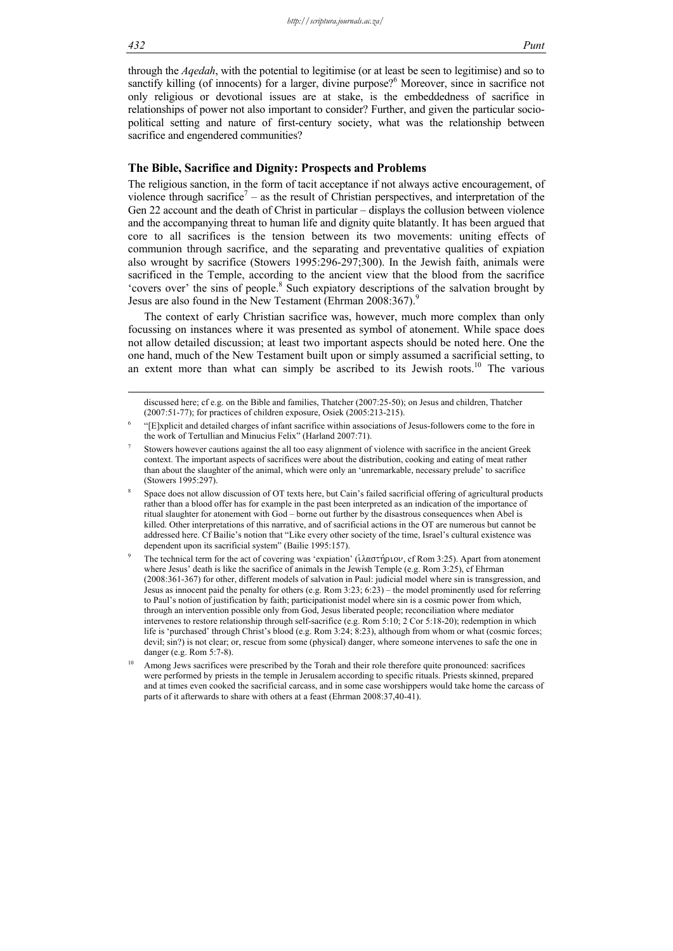through the *Aqedah*, with the potential to legitimise (or at least be seen to legitimise) and so to sanctify killing (of innocents) for a larger, divine purpose?<sup>6</sup> Moreover, since in sacrifice not only religious or devotional issues are at stake, is the embeddedness of sacrifice in relationships of power not also important to consider? Further, and given the particular sociopolitical setting and nature of first-century society, what was the relationship between sacrifice and engendered communities?

# **The Bible, Sacrifice and Dignity: Prospects and Problems**

The religious sanction, in the form of tacit acceptance if not always active encouragement, of violence through sacrifice<sup>7</sup> – as the result of Christian perspectives, and interpretation of the Gen 22 account and the death of Christ in particular – displays the collusion between violence and the accompanying threat to human life and dignity quite blatantly. It has been argued that core to all sacrifices is the tension between its two movements: uniting effects of communion through sacrifice, and the separating and preventative qualities of expiation also wrought by sacrifice (Stowers 1995:296-297;300). In the Jewish faith, animals were sacrificed in the Temple, according to the ancient view that the blood from the sacrifice 'covers over' the sins of people.<sup>8</sup> Such expiatory descriptions of the salvation brought by Jesus are also found in the New Testament (Ehrman 2008:367).<sup>9</sup>

The context of early Christian sacrifice was, however, much more complex than only focussing on instances where it was presented as symbol of atonement. While space does not allow detailed discussion; at least two important aspects should be noted here. One the one hand, much of the New Testament built upon or simply assumed a sacrificial setting, to an extent more than what can simply be ascribed to its Jewish roots.<sup>10</sup> The various

discussed here; cf e.g. on the Bible and families, Thatcher (2007:25-50); on Jesus and children, Thatcher (2007:51-77); for practices of children exposure, Osiek (2005:213-215).

<sup>6</sup> "[E]xplicit and detailed charges of infant sacrifice within associations of Jesus-followers come to the fore in the work of Tertullian and Minucius Felix" (Harland 2007:71).

<sup>7</sup> Stowers however cautions against the all too easy alignment of violence with sacrifice in the ancient Greek context. The important aspects of sacrifices were about the distribution, cooking and eating of meat rather than about the slaughter of the animal, which were only an 'unremarkable, necessary prelude' to sacrifice (Stowers 1995:297).

<sup>8</sup> Space does not allow discussion of OT texts here, but Cain's failed sacrificial offering of agricultural products rather than a blood offer has for example in the past been interpreted as an indication of the importance of ritual slaughter for atonement with God – borne out further by the disastrous consequences when Abel is killed. Other interpretations of this narrative, and of sacrificial actions in the OT are numerous but cannot be addressed here. Cf Bailie's notion that "Like every other society of the time, Israel's cultural existence was dependent upon its sacrificial system" (Bailie 1995:157).

<sup>9</sup> The technical term for the act of covering was 'expiation' ( $\lambda \alpha \sigma \tau \hat{n} \omega \nu$ , cf Rom 3:25). Apart from atonement where Jesus' death is like the sacrifice of animals in the Jewish Temple (e.g. Rom 3:25), cf Ehrman (2008:361-367) for other, different models of salvation in Paul: judicial model where sin is transgression, and Jesus as innocent paid the penalty for others (e.g. Rom 3:23; 6:23) – the model prominently used for referring to Paul's notion of justification by faith; participationist model where sin is a cosmic power from which, through an intervention possible only from God, Jesus liberated people; reconciliation where mediator intervenes to restore relationship through self-sacrifice (e.g. Rom 5:10; 2 Cor 5:18-20); redemption in which life is 'purchased' through Christ's blood (e.g. Rom 3:24; 8:23), although from whom or what (cosmic forces; devil; sin?) is not clear; or, rescue from some (physical) danger, where someone intervenes to safe the one in danger (e.g. Rom 5:7-8).

Among Jews sacrifices were prescribed by the Torah and their role therefore quite pronounced: sacrifices were performed by priests in the temple in Jerusalem according to specific rituals. Priests skinned, prepared and at times even cooked the sacrificial carcass, and in some case worshippers would take home the carcass of parts of it afterwards to share with others at a feast (Ehrman 2008:37,40-41).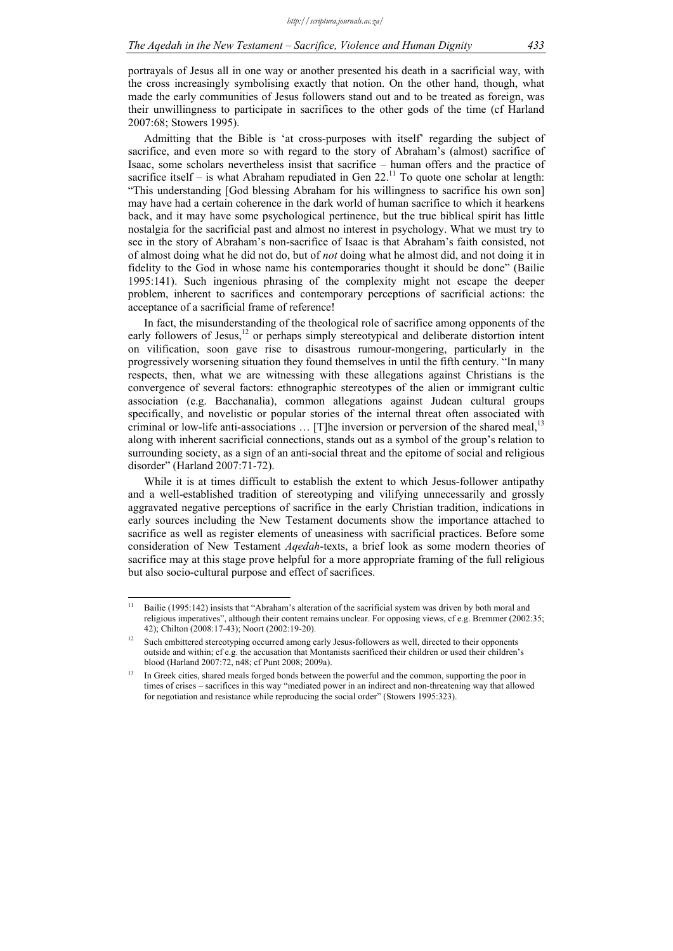portrayals of Jesus all in one way or another presented his death in a sacrificial way, with the cross increasingly symbolising exactly that notion. On the other hand, though, what made the early communities of Jesus followers stand out and to be treated as foreign, was their unwillingness to participate in sacrifices to the other gods of the time (cf Harland 2007:68; Stowers 1995).

Admitting that the Bible is 'at cross-purposes with itself' regarding the subject of sacrifice, and even more so with regard to the story of Abraham's (almost) sacrifice of Isaac, some scholars nevertheless insist that sacrifice – human offers and the practice of sacrifice itself – is what Abraham repudiated in Gen  $22.^{11}$  To quote one scholar at length: "This understanding [God blessing Abraham for his willingness to sacrifice his own son] may have had a certain coherence in the dark world of human sacrifice to which it hearkens back, and it may have some psychological pertinence, but the true biblical spirit has little nostalgia for the sacrificial past and almost no interest in psychology. What we must try to see in the story of Abraham's non-sacrifice of Isaac is that Abraham's faith consisted, not of almost doing what he did not do, but of *not* doing what he almost did, and not doing it in fidelity to the God in whose name his contemporaries thought it should be done" (Bailie 1995:141). Such ingenious phrasing of the complexity might not escape the deeper problem, inherent to sacrifices and contemporary perceptions of sacrificial actions: the acceptance of a sacrificial frame of reference!

In fact, the misunderstanding of the theological role of sacrifice among opponents of the early followers of Jesus,<sup>12</sup> or perhaps simply stereotypical and deliberate distortion intent on vilification, soon gave rise to disastrous rumour-mongering, particularly in the progressively worsening situation they found themselves in until the fifth century. "In many respects, then, what we are witnessing with these allegations against Christians is the convergence of several factors: ethnographic stereotypes of the alien or immigrant cultic association (e.g. Bacchanalia), common allegations against Judean cultural groups specifically, and novelistic or popular stories of the internal threat often associated with criminal or low-life anti-associations  $\dots$  [T]he inversion or perversion of the shared meal,<sup>13</sup> along with inherent sacrificial connections, stands out as a symbol of the group's relation to surrounding society, as a sign of an anti-social threat and the epitome of social and religious disorder" (Harland 2007:71-72).

While it is at times difficult to establish the extent to which Jesus-follower antipathy and a well-established tradition of stereotyping and vilifying unnecessarily and grossly aggravated negative perceptions of sacrifice in the early Christian tradition, indications in early sources including the New Testament documents show the importance attached to sacrifice as well as register elements of uneasiness with sacrificial practices. Before some consideration of New Testament *Aqedah*-texts, a brief look as some modern theories of sacrifice may at this stage prove helpful for a more appropriate framing of the full religious but also socio-cultural purpose and effect of sacrifices.

 $11$ 11 Bailie (1995:142) insists that "Abraham's alteration of the sacrificial system was driven by both moral and religious imperatives", although their content remains unclear. For opposing views, cf e.g. Bremmer (2002:35; 42); Chilton (2008:17-43); Noort (2002:19-20).

Such embittered stereotyping occurred among early Jesus-followers as well, directed to their opponents outside and within; cf e.g. the accusation that Montanists sacrificed their children or used their children's blood (Harland 2007:72, n48; cf Punt 2008; 2009a).

<sup>&</sup>lt;sup>13</sup> In Greek cities, shared meals forged bonds between the powerful and the common, supporting the poor in times of crises – sacrifices in this way "mediated power in an indirect and non-threatening way that allowed for negotiation and resistance while reproducing the social order" (Stowers 1995:323).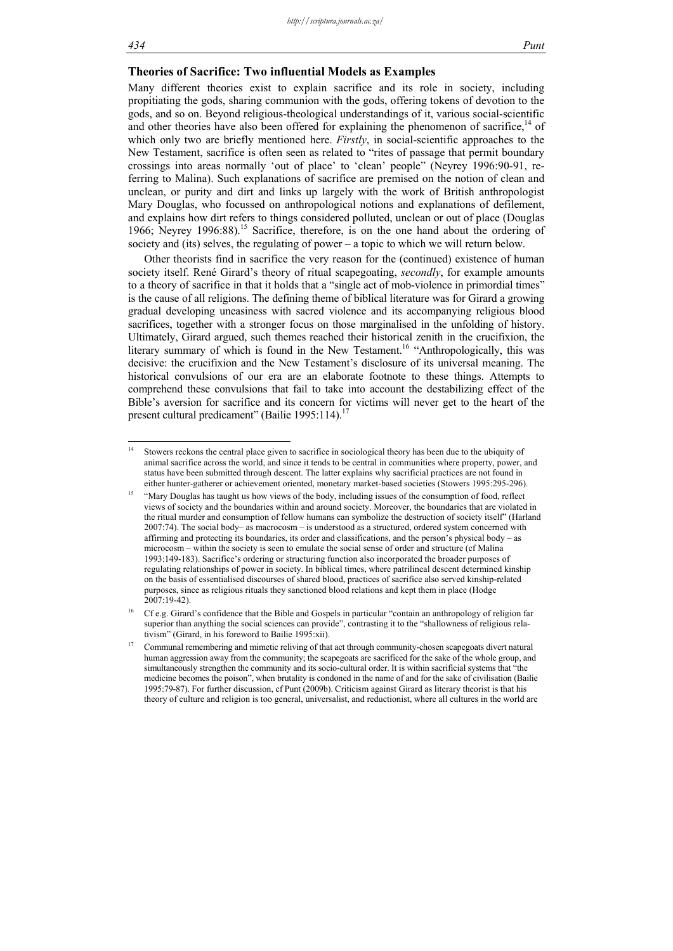-

# **Theories of Sacrifice: Two influential Models as Examples**

Many different theories exist to explain sacrifice and its role in society, including propitiating the gods, sharing communion with the gods, offering tokens of devotion to the gods, and so on. Beyond religious-theological understandings of it, various social-scientific and other theories have also been offered for explaining the phenomenon of sacrifice,  $14$  of which only two are briefly mentioned here. *Firstly*, in social-scientific approaches to the New Testament, sacrifice is often seen as related to "rites of passage that permit boundary crossings into areas normally 'out of place' to 'clean' people" (Neyrey 1996:90-91, referring to Malina). Such explanations of sacrifice are premised on the notion of clean and unclean, or purity and dirt and links up largely with the work of British anthropologist Mary Douglas, who focussed on anthropological notions and explanations of defilement, and explains how dirt refers to things considered polluted, unclean or out of place (Douglas 1966; Neyrey 1996:88).15 Sacrifice, therefore, is on the one hand about the ordering of society and (its) selves, the regulating of power – a topic to which we will return below.

Other theorists find in sacrifice the very reason for the (continued) existence of human society itself. René Girard's theory of ritual scapegoating, *secondly*, for example amounts to a theory of sacrifice in that it holds that a "single act of mob-violence in primordial times" is the cause of all religions. The defining theme of biblical literature was for Girard a growing gradual developing uneasiness with sacred violence and its accompanying religious blood sacrifices, together with a stronger focus on those marginalised in the unfolding of history. Ultimately, Girard argued, such themes reached their historical zenith in the crucifixion, the literary summary of which is found in the New Testament.<sup>16</sup> "Anthropologically, this was decisive: the crucifixion and the New Testament's disclosure of its universal meaning. The historical convulsions of our era are an elaborate footnote to these things. Attempts to comprehend these convulsions that fail to take into account the destabilizing effect of the Bible's aversion for sacrifice and its concern for victims will never get to the heart of the present cultural predicament" (Bailie 1995:114).<sup>17</sup>

<sup>14</sup> Stowers reckons the central place given to sacrifice in sociological theory has been due to the ubiquity of animal sacrifice across the world, and since it tends to be central in communities where property, power, and status have been submitted through descent. The latter explains why sacrificial practices are not found in either hunter-gatherer or achievement oriented, monetary market-based societies (Stowers 1995:295-296).

<sup>15 &</sup>quot;Mary Douglas has taught us how views of the body, including issues of the consumption of food, reflect views of society and the boundaries within and around society. Moreover, the boundaries that are violated in the ritual murder and consumption of fellow humans can symbolize the destruction of society itself" (Harland 2007:74). The social body– as macrocosm – is understood as a structured, ordered system concerned with affirming and protecting its boundaries, its order and classifications, and the person's physical body – as microcosm – within the society is seen to emulate the social sense of order and structure (cf Malina 1993:149-183). Sacrifice's ordering or structuring function also incorporated the broader purposes of regulating relationships of power in society. In biblical times, where patrilineal descent determined kinship on the basis of essentialised discourses of shared blood, practices of sacrifice also served kinship-related purposes, since as religious rituals they sanctioned blood relations and kept them in place (Hodge  $2007:19-42$ 

<sup>&</sup>lt;sup>16</sup> Cf e.g. Girard's confidence that the Bible and Gospels in particular "contain an anthropology of religion far superior than anything the social sciences can provide", contrasting it to the "shallowness of religious relativism" (Girard, in his foreword to Bailie 1995:xii).

<sup>17</sup> Communal remembering and mimetic reliving of that act through community-chosen scapegoats divert natural human aggression away from the community; the scapegoats are sacrificed for the sake of the whole group, and simultaneously strengthen the community and its socio-cultural order. It is within sacrificial systems that "the medicine becomes the poison", when brutality is condoned in the name of and for the sake of civilisation (Bailie 1995:79-87). For further discussion, cf Punt (2009b). Criticism against Girard as literary theorist is that his theory of culture and religion is too general, universalist, and reductionist, where all cultures in the world are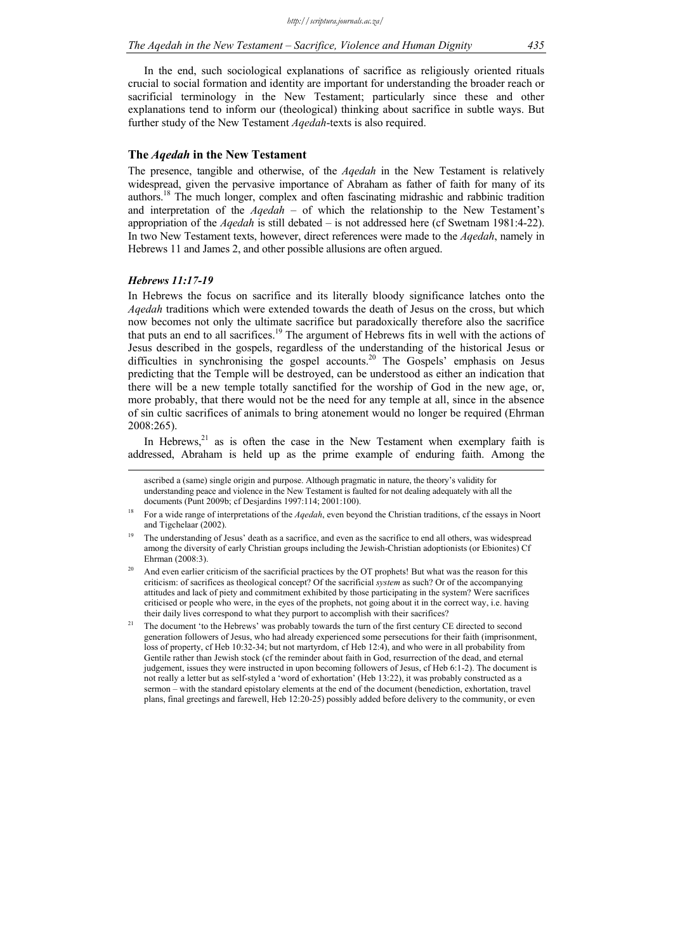In the end, such sociological explanations of sacrifice as religiously oriented rituals crucial to social formation and identity are important for understanding the broader reach or sacrificial terminology in the New Testament; particularly since these and other explanations tend to inform our (theological) thinking about sacrifice in subtle ways. But further study of the New Testament *Aqedah*-texts is also required.

# **The** *Aqedah* **in the New Testament**

The presence, tangible and otherwise, of the *Aqedah* in the New Testament is relatively widespread, given the pervasive importance of Abraham as father of faith for many of its authors.18 The much longer, complex and often fascinating midrashic and rabbinic tradition and interpretation of the *Aqedah* – of which the relationship to the New Testament's appropriation of the *Aqedah* is still debated – is not addressed here (cf Swetnam 1981:4-22). In two New Testament texts, however, direct references were made to the *Aqedah*, namely in Hebrews 11 and James 2, and other possible allusions are often argued.

### *Hebrews 11:17-19*

In Hebrews the focus on sacrifice and its literally bloody significance latches onto the *Aqedah* traditions which were extended towards the death of Jesus on the cross, but which now becomes not only the ultimate sacrifice but paradoxically therefore also the sacrifice that puts an end to all sacrifices.<sup>19</sup> The argument of Hebrews fits in well with the actions of Jesus described in the gospels, regardless of the understanding of the historical Jesus or difficulties in synchronising the gospel accounts.<sup>20</sup> The Gospels' emphasis on Jesus predicting that the Temple will be destroyed, can be understood as either an indication that there will be a new temple totally sanctified for the worship of God in the new age, or, more probably, that there would not be the need for any temple at all, since in the absence of sin cultic sacrifices of animals to bring atonement would no longer be required (Ehrman 2008:265).

In Hebrews, $21$  as is often the case in the New Testament when exemplary faith is addressed, Abraham is held up as the prime example of enduring faith. Among the

ascribed a (same) single origin and purpose. Although pragmatic in nature, the theory's validity for understanding peace and violence in the New Testament is faulted for not dealing adequately with all the documents (Punt 2009b; cf Desjardins 1997:114; 2001:100).

<sup>&</sup>lt;sup>18</sup> For a wide range of interpretations of the *Agedah*, even beyond the Christian traditions, cf the essays in Noort and Tigchelaar (2002).

The understanding of Jesus' death as a sacrifice, and even as the sacrifice to end all others, was widespread among the diversity of early Christian groups including the Jewish-Christian adoptionists (or Ebionites) Cf Ehrman (2008:3).

And even earlier criticism of the sacrificial practices by the OT prophets! But what was the reason for this criticism: of sacrifices as theological concept? Of the sacrificial *system* as such? Or of the accompanying attitudes and lack of piety and commitment exhibited by those participating in the system? Were sacrifices criticised or people who were, in the eyes of the prophets, not going about it in the correct way, i.e. having their daily lives correspond to what they purport to accomplish with their sacrifices?

<sup>&</sup>lt;sup>21</sup> The document 'to the Hebrews' was probably towards the turn of the first century CE directed to second generation followers of Jesus, who had already experienced some persecutions for their faith (imprisonment, loss of property, cf Heb 10:32-34; but not martyrdom, cf Heb 12:4), and who were in all probability from Gentile rather than Jewish stock (cf the reminder about faith in God, resurrection of the dead, and eternal judgement, issues they were instructed in upon becoming followers of Jesus, cf Heb 6:1-2). The document is not really a letter but as self-styled a 'word of exhortation' (Heb 13:22), it was probably constructed as a sermon – with the standard epistolary elements at the end of the document (benediction, exhortation, travel plans, final greetings and farewell, Heb 12:20-25) possibly added before delivery to the community, or even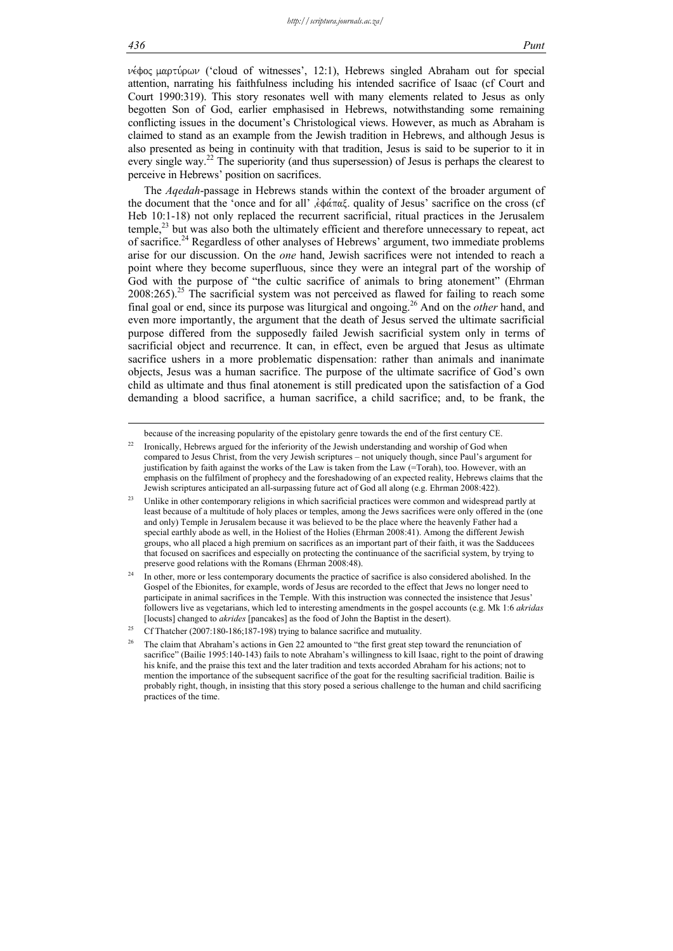$\nu \notin \phi$ ος μαρτύρων ('cloud of witnesses', 12:1), Hebrews singled Abraham out for special attention, narrating his faithfulness including his intended sacrifice of Isaac (cf Court and Court 1990:319). This story resonates well with many elements related to Jesus as only begotten Son of God, earlier emphasised in Hebrews, notwithstanding some remaining conflicting issues in the document's Christological views. However, as much as Abraham is claimed to stand as an example from the Jewish tradition in Hebrews, and although Jesus is also presented as being in continuity with that tradition, Jesus is said to be superior to it in every single way.<sup>22</sup> The superiority (and thus supersession) of Jesus is perhaps the clearest to perceive in Hebrews' position on sacrifices.

The *Aqedah*-passage in Hebrews stands within the context of the broader argument of the document that the 'once and for all' ,ἐφάπαξ. quality of Jesus' sacrifice on the cross (cf Heb 10:1-18) not only replaced the recurrent sacrificial, ritual practices in the Jerusalem  $t$ emple, $^{23}$  but was also both the ultimately efficient and therefore unnecessary to repeat, act of sacrifice.24 Regardless of other analyses of Hebrews' argument, two immediate problems arise for our discussion. On the *one* hand, Jewish sacrifices were not intended to reach a point where they become superfluous, since they were an integral part of the worship of God with the purpose of "the cultic sacrifice of animals to bring atonement" (Ehrman  $2008:265$ ).<sup>25</sup> The sacrificial system was not perceived as flawed for failing to reach some final goal or end, since its purpose was liturgical and ongoing.26 And on the *other* hand, and even more importantly, the argument that the death of Jesus served the ultimate sacrificial purpose differed from the supposedly failed Jewish sacrificial system only in terms of sacrificial object and recurrence. It can, in effect, even be argued that Jesus as ultimate sacrifice ushers in a more problematic dispensation: rather than animals and inanimate objects, Jesus was a human sacrifice. The purpose of the ultimate sacrifice of God's own child as ultimate and thus final atonement is still predicated upon the satisfaction of a God demanding a blood sacrifice, a human sacrifice, a child sacrifice; and, to be frank, the

because of the increasing popularity of the epistolary genre towards the end of the first century CE.

<sup>&</sup>lt;sup>22</sup> Ironically, Hebrews argued for the inferiority of the Jewish understanding and worship of God when compared to Jesus Christ, from the very Jewish scriptures – not uniquely though, since Paul's argument for justification by faith against the works of the Law is taken from the Law (=Torah), too. However, with an emphasis on the fulfilment of prophecy and the foreshadowing of an expected reality, Hebrews claims that the Jewish scriptures anticipated an all-surpassing future act of God all along (e.g. Ehrman 2008:422).

<sup>&</sup>lt;sup>23</sup> Unlike in other contemporary religions in which sacrificial practices were common and widespread partly at least because of a multitude of holy places or temples, among the Jews sacrifices were only offered in the (one and only) Temple in Jerusalem because it was believed to be the place where the heavenly Father had a special earthly abode as well, in the Holiest of the Holies (Ehrman 2008:41). Among the different Jewish groups, who all placed a high premium on sacrifices as an important part of their faith, it was the Sadducees that focused on sacrifices and especially on protecting the continuance of the sacrificial system, by trying to preserve good relations with the Romans (Ehrman 2008:48).

In other, more or less contemporary documents the practice of sacrifice is also considered abolished. In the Gospel of the Ebionites, for example, words of Jesus are recorded to the effect that Jews no longer need to participate in animal sacrifices in the Temple. With this instruction was connected the insistence that Jesus' followers live as vegetarians, which led to interesting amendments in the gospel accounts (e.g. Mk 1:6 *akridas* [locusts] changed to *akrides* [pancakes] as the food of John the Baptist in the desert).

<sup>&</sup>lt;sup>25</sup> Cf Thatcher (2007:180-186:187-198) trying to balance sacrifice and mutuality.

<sup>&</sup>lt;sup>26</sup> The claim that Abraham's actions in Gen 22 amounted to "the first great step toward the renunciation of sacrifice" (Bailie 1995:140-143) fails to note Abraham's willingness to kill Isaac, right to the point of drawing his knife, and the praise this text and the later tradition and texts accorded Abraham for his actions; not to mention the importance of the subsequent sacrifice of the goat for the resulting sacrificial tradition. Bailie is probably right, though, in insisting that this story posed a serious challenge to the human and child sacrificing practices of the time.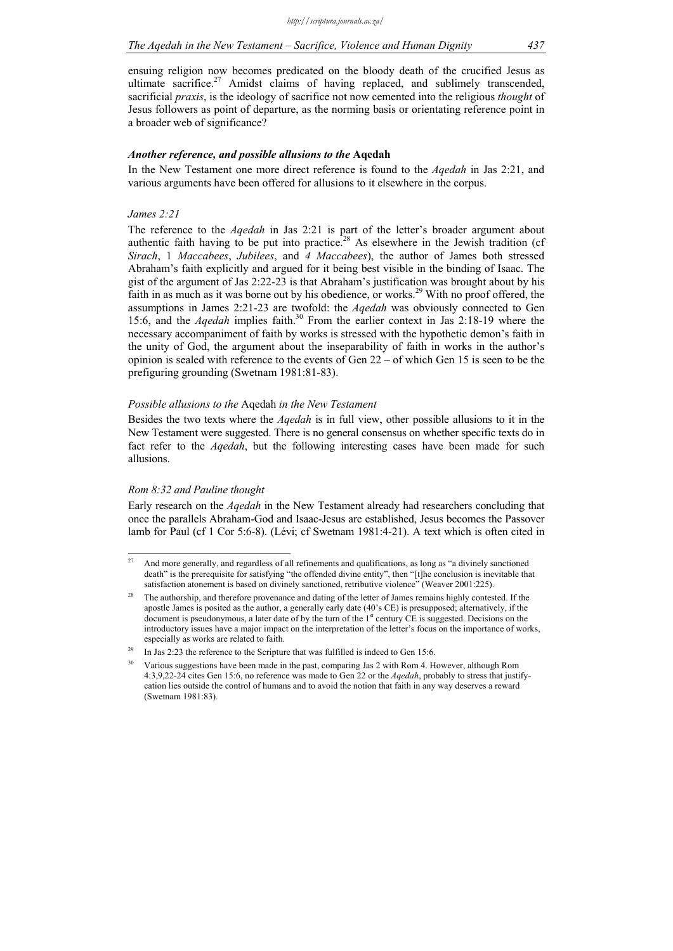ensuing religion now becomes predicated on the bloody death of the crucified Jesus as ultimate sacrifice.<sup>27</sup> Amidst claims of having replaced, and sublimely transcended, sacrificial *praxis*, is the ideology of sacrifice not now cemented into the religious *thought* of Jesus followers as point of departure, as the norming basis or orientating reference point in a broader web of significance?

# *Another reference, and possible allusions to the* **Aqedah**

In the New Testament one more direct reference is found to the *Aqedah* in Jas 2:21, and various arguments have been offered for allusions to it elsewhere in the corpus.

#### *James 2:21*

The reference to the *Aqedah* in Jas 2:21 is part of the letter's broader argument about authentic faith having to be put into practice.<sup>28</sup> As elsewhere in the Jewish tradition (cf *Sirach*, 1 *Maccabees*, *Jubilees*, and *4 Maccabees*), the author of James both stressed Abraham's faith explicitly and argued for it being best visible in the binding of Isaac. The gist of the argument of Jas 2:22-23 is that Abraham's justification was brought about by his faith in as much as it was borne out by his obedience, or works.<sup>29</sup> With no proof offered, the assumptions in James 2:21-23 are twofold: the *Aqedah* was obviously connected to Gen 15:6, and the *Aqedah* implies faith.30 From the earlier context in Jas 2:18-19 where the necessary accompaniment of faith by works is stressed with the hypothetic demon's faith in the unity of God, the argument about the inseparability of faith in works in the author's opinion is sealed with reference to the events of Gen 22 – of which Gen 15 is seen to be the prefiguring grounding (Swetnam 1981:81-83).

#### *Possible allusions to the* Aqedah *in the New Testament*

Besides the two texts where the *Aqedah* is in full view, other possible allusions to it in the New Testament were suggested. There is no general consensus on whether specific texts do in fact refer to the *Aqedah*, but the following interesting cases have been made for such allusions.

# *Rom 8:32 and Pauline thought*

Early research on the *Aqedah* in the New Testament already had researchers concluding that once the parallels Abraham-God and Isaac-Jesus are established, Jesus becomes the Passover lamb for Paul (cf 1 Cor 5:6-8). (Lévi; cf Swetnam 1981:4-21). A text which is often cited in

 $27$ 27 And more generally, and regardless of all refinements and qualifications, as long as "a divinely sanctioned death" is the prerequisite for satisfying "the offended divine entity", then "[t]he conclusion is inevitable that satisfaction atonement is based on divinely sanctioned, retributive violence" (Weaver 2001:225).

The authorship, and therefore provenance and dating of the letter of James remains highly contested. If the apostle James is posited as the author, a generally early date (40's CE) is presupposed; alternatively, if the document is pseudonymous, a later date of by the turn of the 1<sup>st</sup> century CE is suggested. Decisions on the introductory issues have a major impact on the interpretation of the letter's focus on the importance of works, especially as works are related to faith.

<sup>&</sup>lt;sup>29</sup> In Jas 2:23 the reference to the Scripture that was fulfilled is indeed to Gen 15:6.

<sup>30</sup> Various suggestions have been made in the past, comparing Jas 2 with Rom 4. However, although Rom 4:3,9,22-24 cites Gen 15:6, no reference was made to Gen 22 or the *Aqedah*, probably to stress that justifycation lies outside the control of humans and to avoid the notion that faith in any way deserves a reward (Swetnam 1981:83).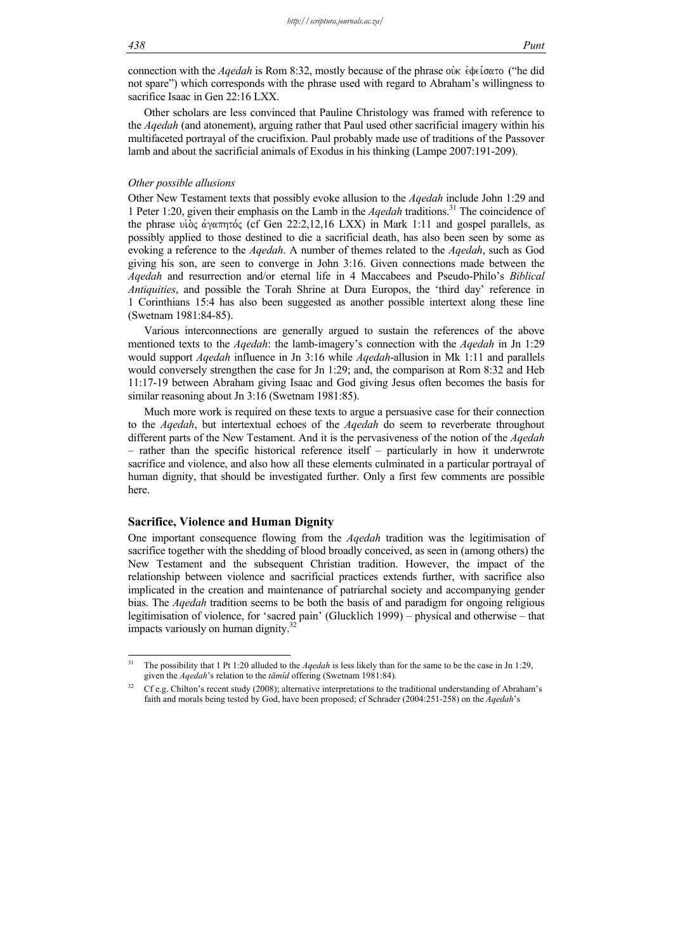connection with the *Aqedah* is Rom 8:32, mostly because of the phrase ouve  $\dot{\epsilon}$  de ( $\sigma \alpha \tau$ ) ("he did not spare") which corresponds with the phrase used with regard to Abraham's willingness to sacrifice Isaac in Gen 22:16 LXX.

Other scholars are less convinced that Pauline Christology was framed with reference to the *Aqedah* (and atonement), arguing rather that Paul used other sacrificial imagery within his multifaceted portrayal of the crucifixion. Paul probably made use of traditions of the Passover lamb and about the sacrificial animals of Exodus in his thinking (Lampe 2007:191-209).

### *Other possible allusions*

Other New Testament texts that possibly evoke allusion to the *Aqedah* include John 1:29 and 1 Peter 1:20, given their emphasis on the Lamb in the *Aqedah* traditions.31 The coincidence of the phrase vioc  $\alpha$  v $\alpha$ πητός (cf Gen 22:2,12,16 LXX) in Mark 1:11 and gospel parallels, as possibly applied to those destined to die a sacrificial death, has also been seen by some as evoking a reference to the *Aqedah*. A number of themes related to the *Aqedah*, such as God giving his son, are seen to converge in John 3:16. Given connections made between the *Aqedah* and resurrection and/or eternal life in 4 Maccabees and Pseudo-Philo's *Biblical Antiquities*, and possible the Torah Shrine at Dura Europos, the 'third day' reference in 1 Corinthians 15:4 has also been suggested as another possible intertext along these line (Swetnam 1981:84-85).

Various interconnections are generally argued to sustain the references of the above mentioned texts to the *Aqedah*: the lamb-imagery's connection with the *Aqedah* in Jn 1:29 would support *Aqedah* influence in Jn 3:16 while *Aqedah*-allusion in Mk 1:11 and parallels would conversely strengthen the case for Jn 1:29; and, the comparison at Rom 8:32 and Heb 11:17-19 between Abraham giving Isaac and God giving Jesus often becomes the basis for similar reasoning about Jn 3:16 (Swetnam 1981:85).

Much more work is required on these texts to argue a persuasive case for their connection to the *Aqedah*, but intertextual echoes of the *Aqedah* do seem to reverberate throughout different parts of the New Testament. And it is the pervasiveness of the notion of the *Aqedah* – rather than the specific historical reference itself – particularly in how it underwrote sacrifice and violence, and also how all these elements culminated in a particular portrayal of human dignity, that should be investigated further. Only a first few comments are possible here.

### **Sacrifice, Violence and Human Dignity**

One important consequence flowing from the *Aqedah* tradition was the legitimisation of sacrifice together with the shedding of blood broadly conceived, as seen in (among others) the New Testament and the subsequent Christian tradition. However, the impact of the relationship between violence and sacrificial practices extends further, with sacrifice also implicated in the creation and maintenance of patriarchal society and accompanying gender bias. The *Aqedah* tradition seems to be both the basis of and paradigm for ongoing religious legitimisation of violence, for 'sacred pain' (Glucklich 1999) – physical and otherwise – that impacts variously on human dignity.<sup>3</sup>

 $31$ 31 The possibility that 1 Pt 1:20 alluded to the *Aqedah* is less likely than for the same to be the case in Jn 1:29, given the *Aqedah*'s relation to the *tāmîd* offering (Swetnam 1981:84).

<sup>&</sup>lt;sup>32</sup> Cf e.g. Chilton's recent study (2008); alternative interpretations to the traditional understanding of Abraham's faith and morals being tested by God, have been proposed; cf Schrader (2004:251-258) on the *Aqedah*'s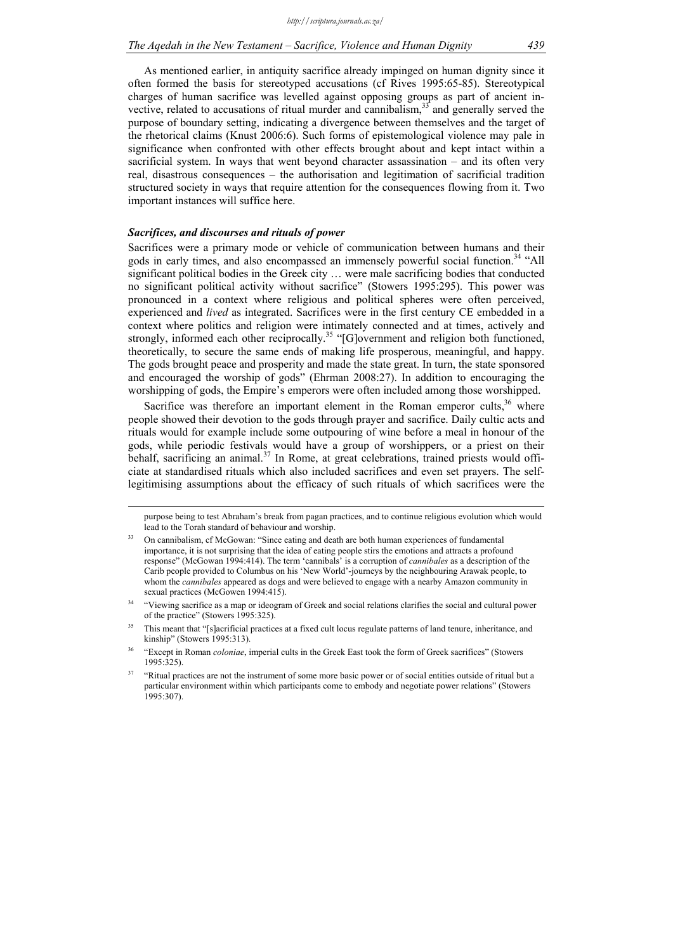As mentioned earlier, in antiquity sacrifice already impinged on human dignity since it often formed the basis for stereotyped accusations (cf Rives 1995:65-85). Stereotypical charges of human sacrifice was levelled against opposing groups as part of ancient invective, related to accusations of ritual murder and cannibalism, $33$  and generally served the purpose of boundary setting, indicating a divergence between themselves and the target of the rhetorical claims (Knust 2006:6). Such forms of epistemological violence may pale in significance when confronted with other effects brought about and kept intact within a sacrificial system. In ways that went beyond character assassination – and its often very real, disastrous consequences – the authorisation and legitimation of sacrificial tradition structured society in ways that require attention for the consequences flowing from it. Two important instances will suffice here.

# *Sacrifices, and discourses and rituals of power*

Sacrifices were a primary mode or vehicle of communication between humans and their gods in early times, and also encompassed an immensely powerful social function.<sup>34</sup> "All significant political bodies in the Greek city … were male sacrificing bodies that conducted no significant political activity without sacrifice" (Stowers 1995:295). This power was pronounced in a context where religious and political spheres were often perceived, experienced and *lived* as integrated. Sacrifices were in the first century CE embedded in a context where politics and religion were intimately connected and at times, actively and strongly, informed each other reciprocally.<sup>35</sup> "[G]overnment and religion both functioned, theoretically, to secure the same ends of making life prosperous, meaningful, and happy. The gods brought peace and prosperity and made the state great. In turn, the state sponsored and encouraged the worship of gods" (Ehrman 2008:27). In addition to encouraging the worshipping of gods, the Empire's emperors were often included among those worshipped.

Sacrifice was therefore an important element in the Roman emperor cults, $36$  where people showed their devotion to the gods through prayer and sacrifice. Daily cultic acts and rituals would for example include some outpouring of wine before a meal in honour of the gods, while periodic festivals would have a group of worshippers, or a priest on their behalf, sacrificing an animal.<sup>37</sup> In Rome, at great celebrations, trained priests would officiate at standardised rituals which also included sacrifices and even set prayers. The selflegitimising assumptions about the efficacy of such rituals of which sacrifices were the

purpose being to test Abraham's break from pagan practices, and to continue religious evolution which would lead to the Torah standard of behaviour and worship.

<sup>33</sup> On cannibalism, cf McGowan: "Since eating and death are both human experiences of fundamental importance, it is not surprising that the idea of eating people stirs the emotions and attracts a profound response" (McGowan 1994:414). The term 'cannibals' is a corruption of *cannibales* as a description of the Carib people provided to Columbus on his 'New World'-journeys by the neighbouring Arawak people, to whom the *cannibales* appeared as dogs and were believed to engage with a nearby Amazon community in sexual practices (McGowen 1994:415).

<sup>34 &</sup>quot;Viewing sacrifice as a map or ideogram of Greek and social relations clarifies the social and cultural power of the practice" (Stowers 1995:325).

<sup>&</sup>lt;sup>35</sup> This meant that "[s]acrificial practices at a fixed cult locus regulate patterns of land tenure, inheritance, and kinship" (Stowers 1995:313).

<sup>36 &</sup>quot;Except in Roman *coloniae*, imperial cults in the Greek East took the form of Greek sacrifices" (Stowers 1995:325).

<sup>&</sup>lt;sup>37</sup> "Ritual practices are not the instrument of some more basic power or of social entities outside of ritual but a particular environment within which participants come to embody and negotiate power relations" (Stowers 1995:307).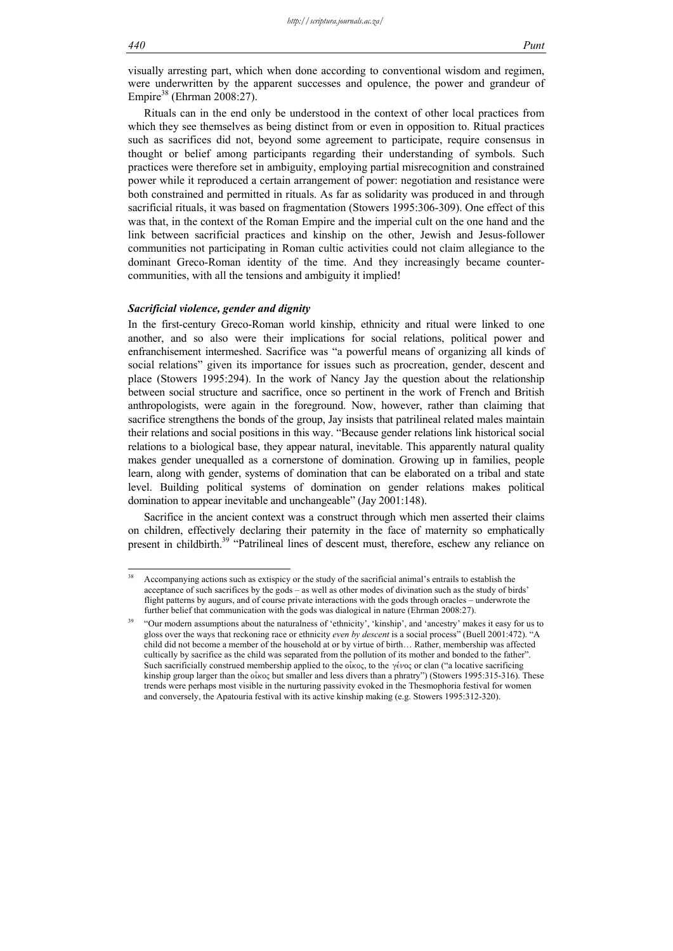-

visually arresting part, which when done according to conventional wisdom and regimen, were underwritten by the apparent successes and opulence, the power and grandeur of Empire<sup>38</sup> (Ehrman 2008:27).

Rituals can in the end only be understood in the context of other local practices from which they see themselves as being distinct from or even in opposition to. Ritual practices such as sacrifices did not, beyond some agreement to participate, require consensus in thought or belief among participants regarding their understanding of symbols. Such practices were therefore set in ambiguity, employing partial misrecognition and constrained power while it reproduced a certain arrangement of power: negotiation and resistance were both constrained and permitted in rituals. As far as solidarity was produced in and through sacrificial rituals, it was based on fragmentation (Stowers 1995:306-309). One effect of this was that, in the context of the Roman Empire and the imperial cult on the one hand and the link between sacrificial practices and kinship on the other, Jewish and Jesus-follower communities not participating in Roman cultic activities could not claim allegiance to the dominant Greco-Roman identity of the time. And they increasingly became countercommunities, with all the tensions and ambiguity it implied!

# *Sacrificial violence, gender and dignity*

In the first-century Greco-Roman world kinship, ethnicity and ritual were linked to one another, and so also were their implications for social relations, political power and enfranchisement intermeshed. Sacrifice was "a powerful means of organizing all kinds of social relations" given its importance for issues such as procreation, gender, descent and place (Stowers 1995:294). In the work of Nancy Jay the question about the relationship between social structure and sacrifice, once so pertinent in the work of French and British anthropologists, were again in the foreground. Now, however, rather than claiming that sacrifice strengthens the bonds of the group, Jay insists that patrilineal related males maintain their relations and social positions in this way. "Because gender relations link historical social relations to a biological base, they appear natural, inevitable. This apparently natural quality makes gender unequalled as a cornerstone of domination. Growing up in families, people learn, along with gender, systems of domination that can be elaborated on a tribal and state level. Building political systems of domination on gender relations makes political domination to appear inevitable and unchangeable" (Jay 2001:148).

Sacrifice in the ancient context was a construct through which men asserted their claims on children, effectively declaring their paternity in the face of maternity so emphatically present in childbirth.<sup>39</sup> "Patrilineal lines of descent must, therefore, eschew any reliance on

<sup>38</sup> Accompanying actions such as extispicy or the study of the sacrificial animal's entrails to establish the acceptance of such sacrifices by the gods – as well as other modes of divination such as the study of birds' flight patterns by augurs, and of course private interactions with the gods through oracles – underwrote the further belief that communication with the gods was dialogical in nature (Ehrman 2008:27).

<sup>39 &</sup>quot;Our modern assumptions about the naturalness of 'ethnicity', 'kinship', and 'ancestry' makes it easy for us to gloss over the ways that reckoning race or ethnicity *even by descent* is a social process" (Buell 2001:472). "A child did not become a member of the household at or by virtue of birth… Rather, membership was affected cultically by sacrifice as the child was separated from the pollution of its mother and bonded to the father". Such sacrificially construed membership applied to the  $\delta \tilde{k}$  to the  $\gamma \tilde{\epsilon} \nu$  or clan ("a locative sacrificing kinship group larger than the  $\alpha$  but smaller and less divers than a phratry") (Stowers 1995:315-316). These trends were perhaps most visible in the nurturing passivity evoked in the Thesmophoria festival for women and conversely, the Apatouria festival with its active kinship making (e.g. Stowers 1995:312-320).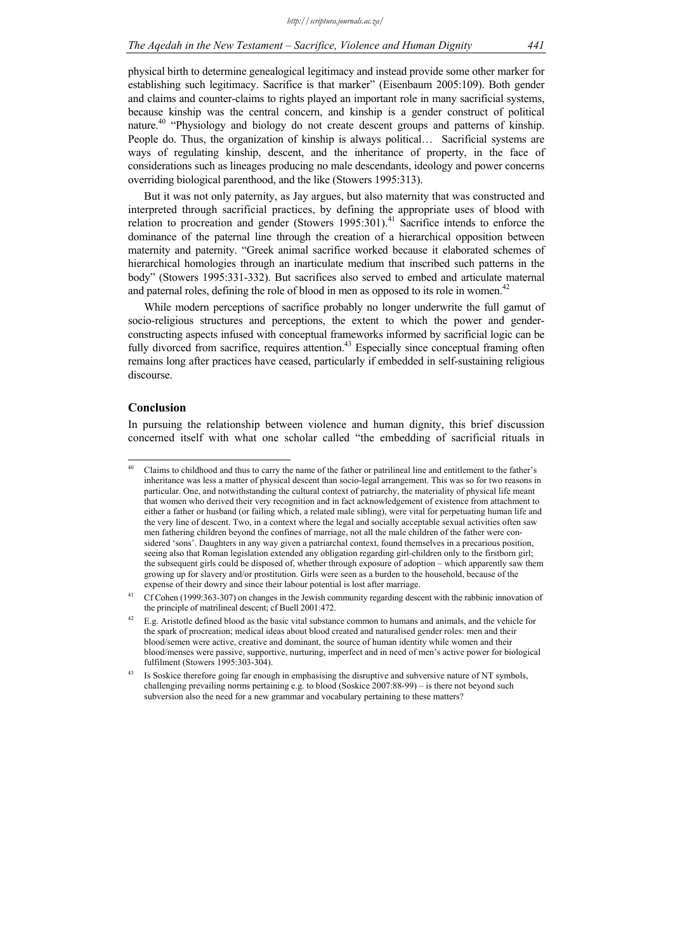physical birth to determine genealogical legitimacy and instead provide some other marker for establishing such legitimacy. Sacrifice is that marker" (Eisenbaum 2005:109). Both gender and claims and counter-claims to rights played an important role in many sacrificial systems, because kinship was the central concern, and kinship is a gender construct of political nature.<sup>40</sup> "Physiology and biology do not create descent groups and patterns of kinship. People do. Thus, the organization of kinship is always political... Sacrificial systems are ways of regulating kinship, descent, and the inheritance of property, in the face of considerations such as lineages producing no male descendants, ideology and power concerns overriding biological parenthood, and the like (Stowers 1995:313).

But it was not only paternity, as Jay argues, but also maternity that was constructed and interpreted through sacrificial practices, by defining the appropriate uses of blood with relation to procreation and gender (Stowers  $1995:301$ ).<sup>41</sup> Sacrifice intends to enforce the dominance of the paternal line through the creation of a hierarchical opposition between maternity and paternity. "Greek animal sacrifice worked because it elaborated schemes of hierarchical homologies through an inarticulate medium that inscribed such patterns in the body" (Stowers 1995:331-332). But sacrifices also served to embed and articulate maternal and paternal roles, defining the role of blood in men as opposed to its role in women.<sup>42</sup>

While modern perceptions of sacrifice probably no longer underwrite the full gamut of socio-religious structures and perceptions, the extent to which the power and genderconstructing aspects infused with conceptual frameworks informed by sacrificial logic can be fully divorced from sacrifice, requires attention.<sup>43</sup> Especially since conceptual framing often remains long after practices have ceased, particularly if embedded in self-sustaining religious discourse.

# **Conclusion**

-

In pursuing the relationship between violence and human dignity, this brief discussion concerned itself with what one scholar called "the embedding of sacrificial rituals in

<sup>40</sup> Claims to childhood and thus to carry the name of the father or patrilineal line and entitlement to the father's inheritance was less a matter of physical descent than socio-legal arrangement. This was so for two reasons in particular. One, and notwithstanding the cultural context of patriarchy, the materiality of physical life meant that women who derived their very recognition and in fact acknowledgement of existence from attachment to either a father or husband (or failing which, a related male sibling), were vital for perpetuating human life and the very line of descent. Two, in a context where the legal and socially acceptable sexual activities often saw men fathering children beyond the confines of marriage, not all the male children of the father were considered 'sons'. Daughters in any way given a patriarchal context, found themselves in a precarious position, seeing also that Roman legislation extended any obligation regarding girl-children only to the firstborn girl; the subsequent girls could be disposed of, whether through exposure of adoption – which apparently saw them growing up for slavery and/or prostitution. Girls were seen as a burden to the household, because of the expense of their dowry and since their labour potential is lost after marriage.

<sup>&</sup>lt;sup>41</sup> Cf Cohen (1999:363-307) on changes in the Jewish community regarding descent with the rabbinic innovation of the principle of matrilineal descent; cf Buell 2001:472.

<sup>42</sup> E.g. Aristotle defined blood as the basic vital substance common to humans and animals, and the vehicle for the spark of procreation; medical ideas about blood created and naturalised gender roles: men and their blood/semen were active, creative and dominant, the source of human identity while women and their blood/menses were passive, supportive, nurturing, imperfect and in need of men's active power for biological fulfilment (Stowers 1995:303-304).

<sup>&</sup>lt;sup>43</sup> Is Soskice therefore going far enough in emphasising the disruptive and subversive nature of NT symbols, challenging prevailing norms pertaining e.g. to blood (Soskice 2007:88-99) – is there not beyond such subversion also the need for a new grammar and vocabulary pertaining to these matters?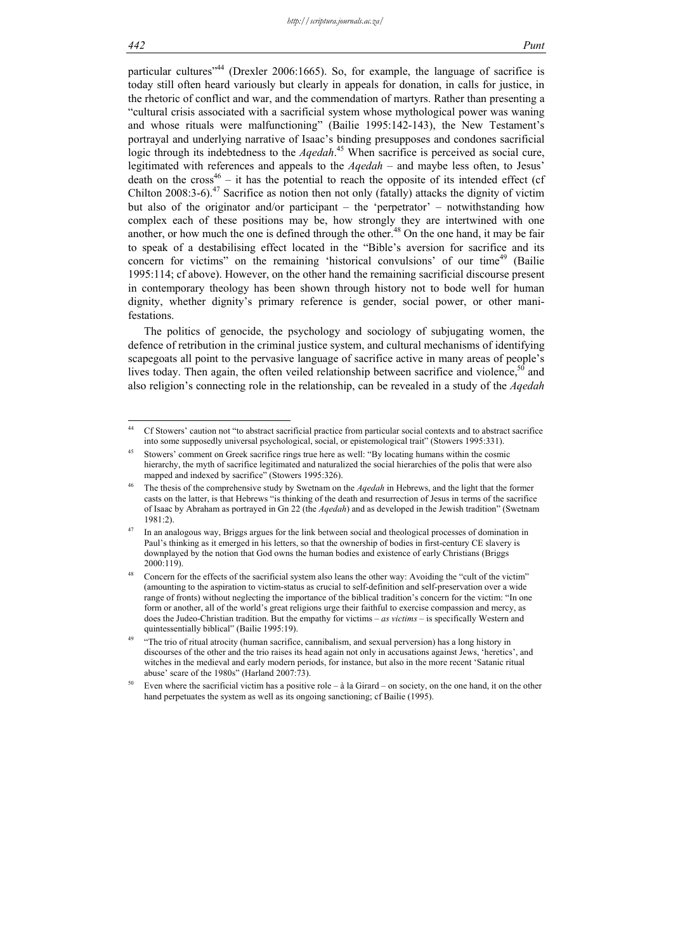particular cultures<sup> $344$ </sup> (Drexler 2006:1665). So, for example, the language of sacrifice is today still often heard variously but clearly in appeals for donation, in calls for justice, in the rhetoric of conflict and war, and the commendation of martyrs. Rather than presenting a "cultural crisis associated with a sacrificial system whose mythological power was waning and whose rituals were malfunctioning" (Bailie 1995:142-143), the New Testament's portrayal and underlying narrative of Isaac's binding presupposes and condones sacrificial logic through its indebtedness to the *Aqedah*.<sup>45</sup> When sacrifice is perceived as social cure, legitimated with references and appeals to the *Aqedah* – and maybe less often, to Jesus' death on the  $cross^{46} - it$  has the potential to reach the opposite of its intended effect (cf Chilton 2008:3-6).<sup>47</sup> Sacrifice as notion then not only (fatally) attacks the dignity of victim but also of the originator and/or participant – the 'perpetrator' – notwithstanding how complex each of these positions may be, how strongly they are intertwined with one another, or how much the one is defined through the other.<sup>48</sup> On the one hand, it may be fair to speak of a destabilising effect located in the "Bible's aversion for sacrifice and its concern for victims" on the remaining 'historical convulsions' of our time<sup>49</sup> (Bailie 1995:114; cf above). However, on the other hand the remaining sacrificial discourse present in contemporary theology has been shown through history not to bode well for human dignity, whether dignity's primary reference is gender, social power, or other manifestations.

The politics of genocide, the psychology and sociology of subjugating women, the defence of retribution in the criminal justice system, and cultural mechanisms of identifying scapegoats all point to the pervasive language of sacrifice active in many areas of people's lives today. Then again, the often veiled relationship between sacrifice and violence,<sup>50</sup> and also religion's connecting role in the relationship, can be revealed in a study of the *Aqedah*

 $\frac{44}{3}$ 44 Cf Stowers' caution not "to abstract sacrificial practice from particular social contexts and to abstract sacrifice into some supposedly universal psychological, social, or epistemological trait" (Stowers 1995:331).

<sup>&</sup>lt;sup>45</sup> Stowers' comment on Greek sacrifice rings true here as well: "By locating humans within the cosmic hierarchy, the myth of sacrifice legitimated and naturalized the social hierarchies of the polis that were also mapped and indexed by sacrifice" (Stowers 1995:326).

<sup>46</sup> The thesis of the comprehensive study by Swetnam on the *Aqedah* in Hebrews, and the light that the former casts on the latter, is that Hebrews "is thinking of the death and resurrection of Jesus in terms of the sacrifice of Isaac by Abraham as portrayed in Gn 22 (the *Aqedah*) and as developed in the Jewish tradition" (Swetnam 1981:2).

<sup>47</sup> In an analogous way, Briggs argues for the link between social and theological processes of domination in Paul's thinking as it emerged in his letters, so that the ownership of bodies in first-century CE slavery is downplayed by the notion that God owns the human bodies and existence of early Christians (Briggs 2000:119).

Concern for the effects of the sacrificial system also leans the other way: Avoiding the "cult of the victim" (amounting to the aspiration to victim-status as crucial to self-definition and self-preservation over a wide range of fronts) without neglecting the importance of the biblical tradition's concern for the victim: "In one form or another, all of the world's great religions urge their faithful to exercise compassion and mercy, as does the Judeo-Christian tradition. But the empathy for victims – *as victims* – is specifically Western and quintessentially biblical" (Bailie 1995:19).

<sup>&</sup>quot;The trio of ritual atrocity (human sacrifice, cannibalism, and sexual perversion) has a long history in discourses of the other and the trio raises its head again not only in accusations against Jews, 'heretics', and witches in the medieval and early modern periods, for instance, but also in the more recent 'Satanic ritual abuse' scare of the 1980s" (Harland 2007:73).

Even where the sacrificial victim has a positive role –  $\dot{a}$  la Girard – on society, on the one hand, it on the other hand perpetuates the system as well as its ongoing sanctioning; cf Bailie (1995).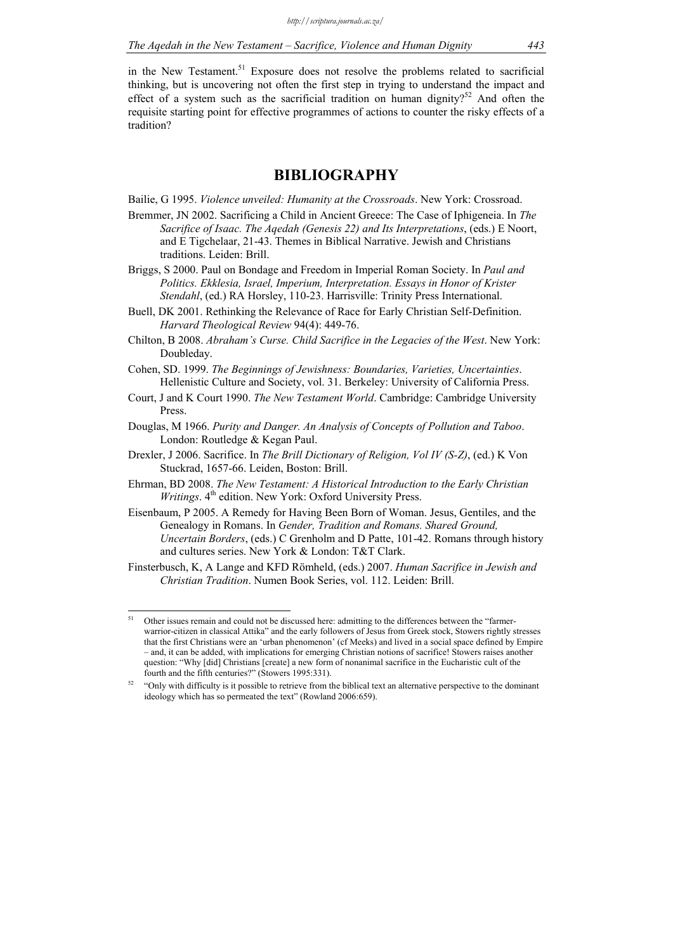in the New Testament.<sup>51</sup> Exposure does not resolve the problems related to sacrificial thinking, but is uncovering not often the first step in trying to understand the impact and effect of a system such as the sacrificial tradition on human dignity?<sup>52</sup> And often the requisite starting point for effective programmes of actions to counter the risky effects of a tradition?

# **BIBLIOGRAPHY**

Bailie, G 1995. *Violence unveiled: Humanity at the Crossroads*. New York: Crossroad.

- Bremmer, JN 2002. Sacrificing a Child in Ancient Greece: The Case of Iphigeneia. In *The Sacrifice of Isaac. The Aqedah (Genesis 22) and Its Interpretations*, (eds.) E Noort, and E Tigchelaar, 21-43. Themes in Biblical Narrative. Jewish and Christians traditions. Leiden: Brill.
- Briggs, S 2000. Paul on Bondage and Freedom in Imperial Roman Society. In *Paul and Politics. Ekklesia, Israel, Imperium, Interpretation. Essays in Honor of Krister Stendahl*, (ed.) RA Horsley, 110-23. Harrisville: Trinity Press International.
- Buell, DK 2001. Rethinking the Relevance of Race for Early Christian Self-Definition. *Harvard Theological Review* 94(4): 449-76.
- Chilton, B 2008. *Abraham's Curse. Child Sacrifice in the Legacies of the West*. New York: Doubleday.
- Cohen, SD. 1999. *The Beginnings of Jewishness: Boundaries, Varieties, Uncertainties*. Hellenistic Culture and Society, vol. 31. Berkeley: University of California Press.
- Court, J and K Court 1990. *The New Testament World*. Cambridge: Cambridge University Press.
- Douglas, M 1966. *Purity and Danger. An Analysis of Concepts of Pollution and Taboo*. London: Routledge & Kegan Paul.
- Drexler, J 2006. Sacrifice. In *The Brill Dictionary of Religion, Vol IV (S-Z)*, (ed.) K Von Stuckrad, 1657-66. Leiden, Boston: Brill.
- Ehrman, BD 2008. *The New Testament: A Historical Introduction to the Early Christian Writings*. 4<sup>th</sup> edition. New York: Oxford University Press.
- Eisenbaum, P 2005. A Remedy for Having Been Born of Woman. Jesus, Gentiles, and the Genealogy in Romans. In *Gender, Tradition and Romans. Shared Ground, Uncertain Borders*, (eds.) C Grenholm and D Patte, 101-42. Romans through history and cultures series. New York & London: T&T Clark.
- Finsterbusch, K, A Lange and KFD Römheld, (eds.) 2007. *Human Sacrifice in Jewish and Christian Tradition*. Numen Book Series, vol. 112. Leiden: Brill.

 $51$ Other issues remain and could not be discussed here: admitting to the differences between the "farmerwarrior-citizen in classical Attika" and the early followers of Jesus from Greek stock, Stowers rightly stresses that the first Christians were an 'urban phenomenon' (cf Meeks) and lived in a social space defined by Empire – and, it can be added, with implications for emerging Christian notions of sacrifice! Stowers raises another question: "Why [did] Christians [create] a new form of nonanimal sacrifice in the Eucharistic cult of the fourth and the fifth centuries?" (Stowers 1995:331).

 $52$  "Only with difficulty is it possible to retrieve from the biblical text an alternative perspective to the dominant ideology which has so permeated the text" (Rowland 2006:659).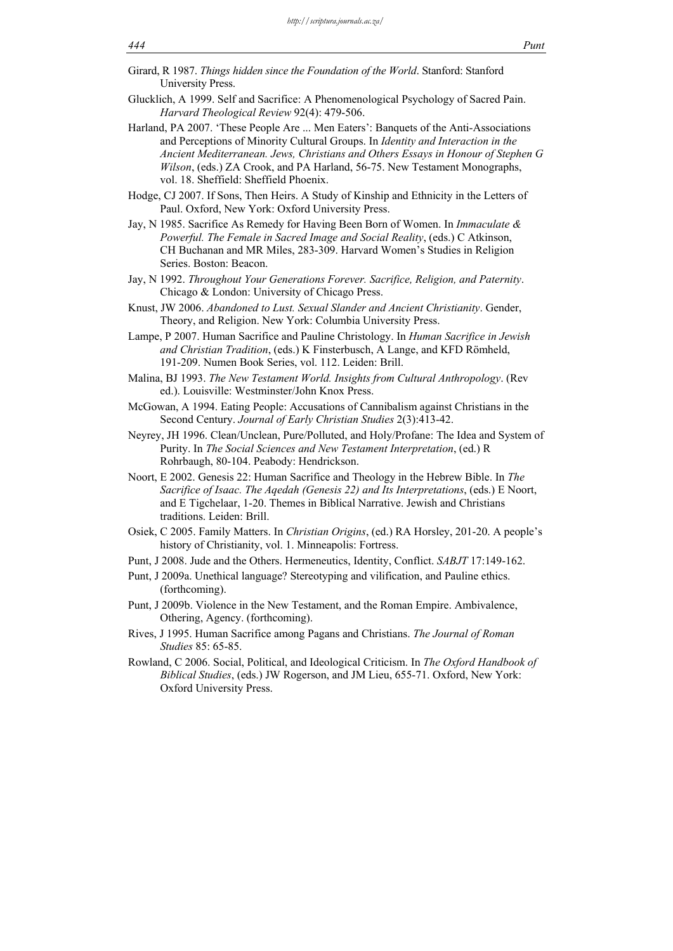- Girard, R 1987. *Things hidden since the Foundation of the World*. Stanford: Stanford University Press.
- Glucklich, A 1999. Self and Sacrifice: A Phenomenological Psychology of Sacred Pain. *Harvard Theological Review* 92(4): 479-506.
- Harland, PA 2007. 'These People Are ... Men Eaters': Banquets of the Anti-Associations and Perceptions of Minority Cultural Groups. In *Identity and Interaction in the Ancient Mediterranean. Jews, Christians and Others Essays in Honour of Stephen G Wilson*, (eds.) ZA Crook, and PA Harland, 56-75. New Testament Monographs, vol. 18. Sheffield: Sheffield Phoenix.
- Hodge, CJ 2007. If Sons, Then Heirs. A Study of Kinship and Ethnicity in the Letters of Paul. Oxford, New York: Oxford University Press.
- Jay, N 1985. Sacrifice As Remedy for Having Been Born of Women. In *Immaculate & Powerful. The Female in Sacred Image and Social Reality*, (eds.) C Atkinson, CH Buchanan and MR Miles, 283-309. Harvard Women's Studies in Religion Series. Boston: Beacon.
- Jay, N 1992. *Throughout Your Generations Forever. Sacrifice, Religion, and Paternity*. Chicago & London: University of Chicago Press.
- Knust, JW 2006. *Abandoned to Lust. Sexual Slander and Ancient Christianity*. Gender, Theory, and Religion. New York: Columbia University Press.
- Lampe, P 2007. Human Sacrifice and Pauline Christology. In *Human Sacrifice in Jewish and Christian Tradition*, (eds.) K Finsterbusch, A Lange, and KFD Römheld, 191-209. Numen Book Series, vol. 112. Leiden: Brill.
- Malina, BJ 1993. *The New Testament World. Insights from Cultural Anthropology*. (Rev ed.). Louisville: Westminster/John Knox Press.
- McGowan, A 1994. Eating People: Accusations of Cannibalism against Christians in the Second Century. *Journal of Early Christian Studies* 2(3):413-42.
- Neyrey, JH 1996. Clean/Unclean, Pure/Polluted, and Holy/Profane: The Idea and System of Purity. In *The Social Sciences and New Testament Interpretation*, (ed.) R Rohrbaugh, 80-104. Peabody: Hendrickson.
- Noort, E 2002. Genesis 22: Human Sacrifice and Theology in the Hebrew Bible. In *The Sacrifice of Isaac. The Aqedah (Genesis 22) and Its Interpretations*, (eds.) E Noort, and E Tigchelaar, 1-20. Themes in Biblical Narrative. Jewish and Christians traditions. Leiden: Brill.
- Osiek, C 2005. Family Matters. In *Christian Origins*, (ed.) RA Horsley, 201-20. A people's history of Christianity, vol. 1. Minneapolis: Fortress.
- Punt, J 2008. Jude and the Others. Hermeneutics, Identity, Conflict. *SABJT* 17:149-162.
- Punt, J 2009a. Unethical language? Stereotyping and vilification, and Pauline ethics. (forthcoming).
- Punt, J 2009b. Violence in the New Testament, and the Roman Empire. Ambivalence, Othering, Agency. (forthcoming).
- Rives, J 1995. Human Sacrifice among Pagans and Christians. *The Journal of Roman Studies* 85: 65-85.
- Rowland, C 2006. Social, Political, and Ideological Criticism. In *The Oxford Handbook of Biblical Studies*, (eds.) JW Rogerson, and JM Lieu, 655-71. Oxford, New York: Oxford University Press.